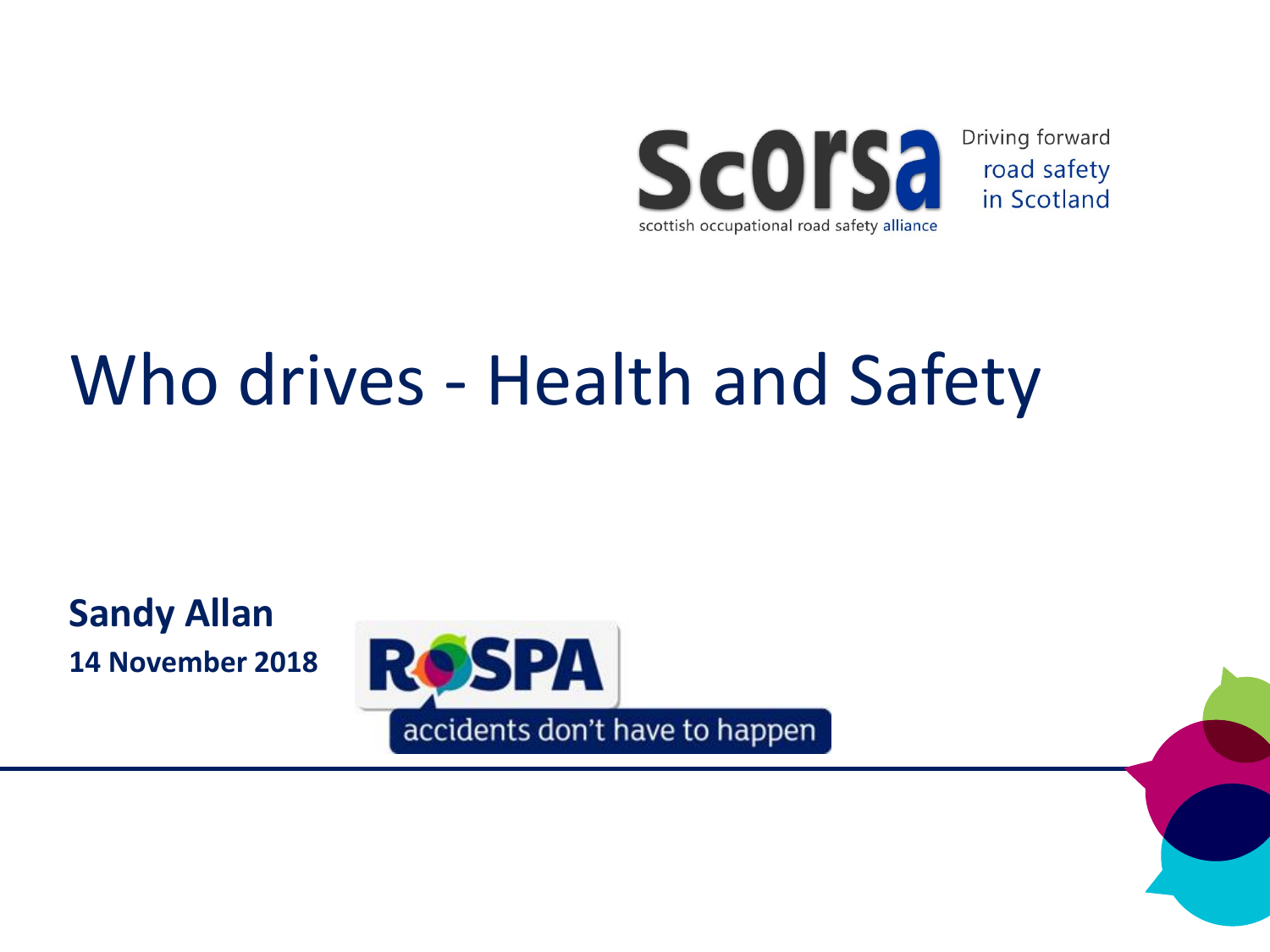

Driving forward road safety in Scotland

### Who drives - Health and Safety

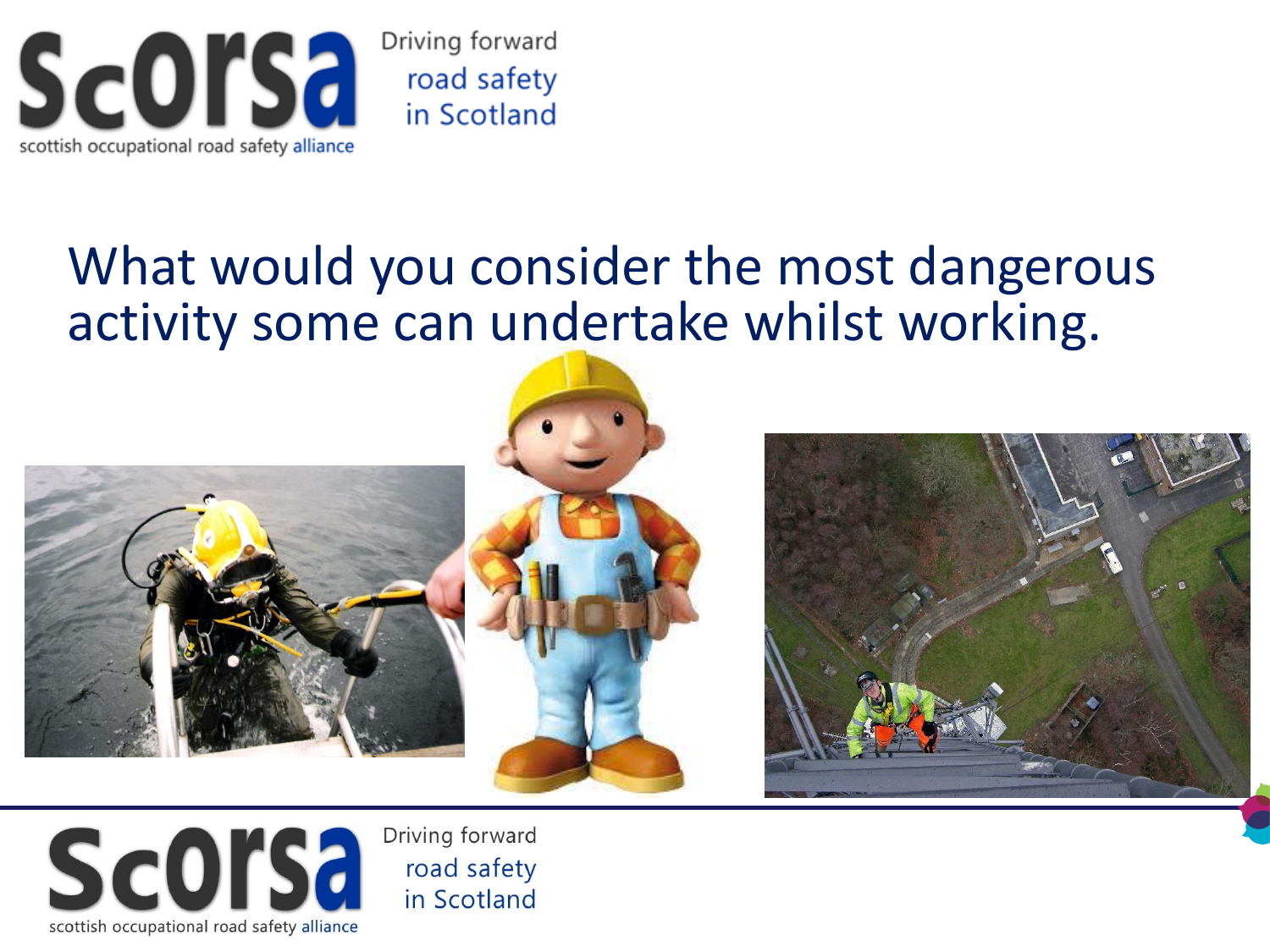

#### What would you consider the most dangerous activity some can undertake whilst working.







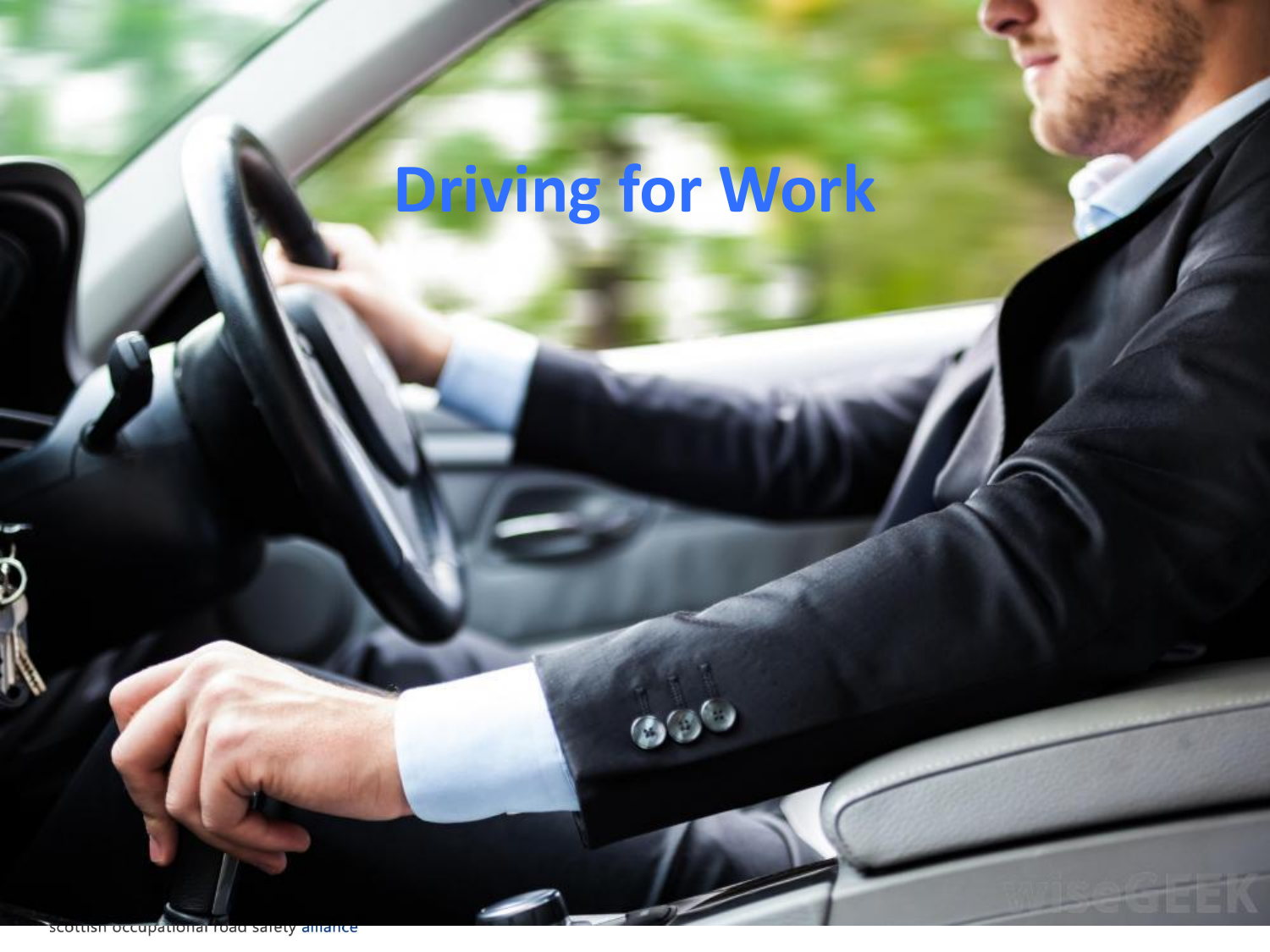# **Driving for Work**

 $\mathbf{B}^{\prime}$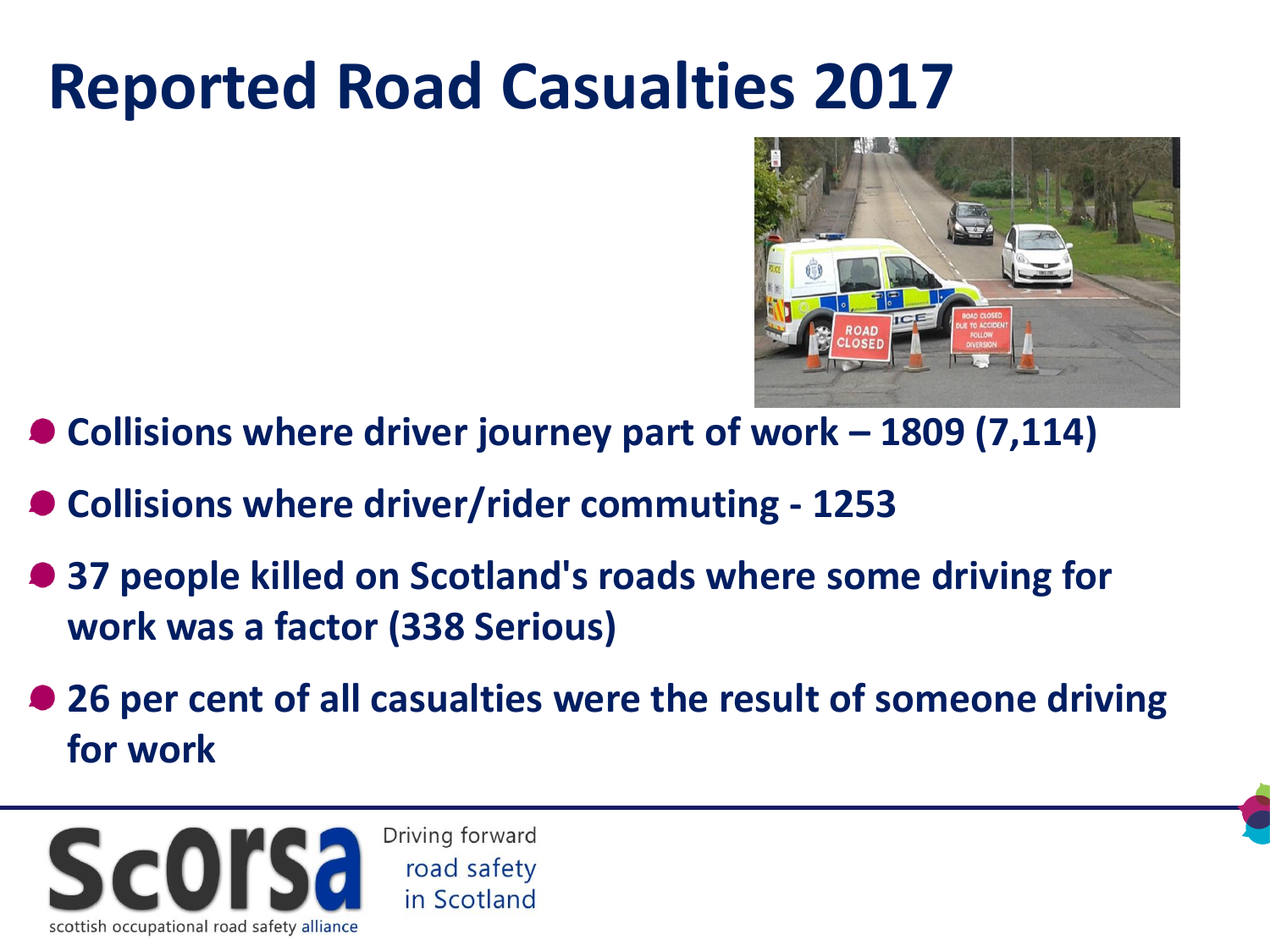#### **Reported Road Casualties 2017**



- **Collisions where driver journey part of work – 1809 (7,114)**
- **Collisions where driver/rider commuting - 1253**
- **37 people killed on Scotland's roads where some driving for work was a factor (338 Serious)**
- **26 per cent of all casualties were the result of someone driving for work**

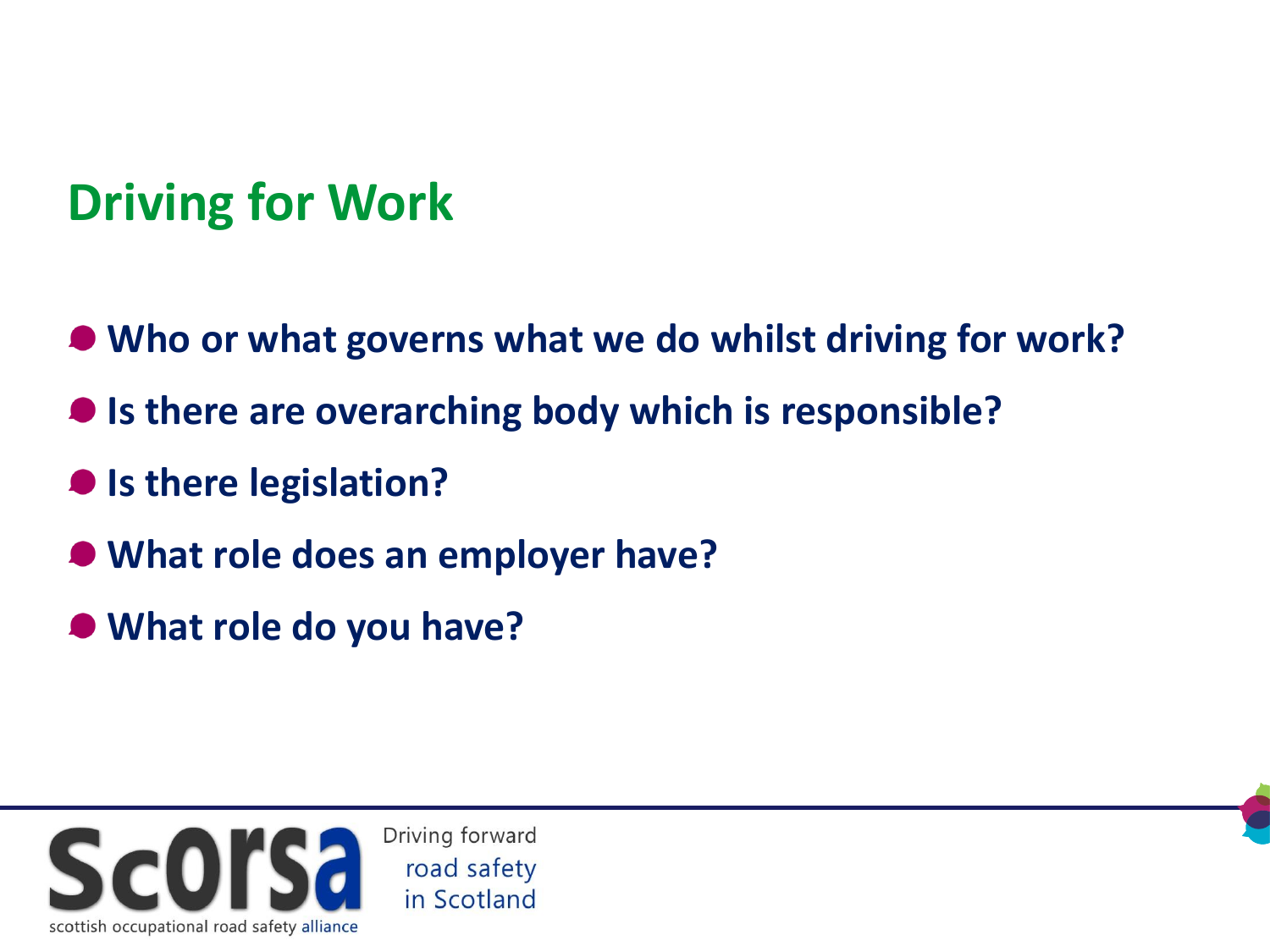#### **Driving for Work**

- **Who or what governs what we do whilst driving for work?**
- **Is there are overarching body which is responsible?**
- **Is there legislation?**
- **What role does an employer have?**
- **What role do you have?**

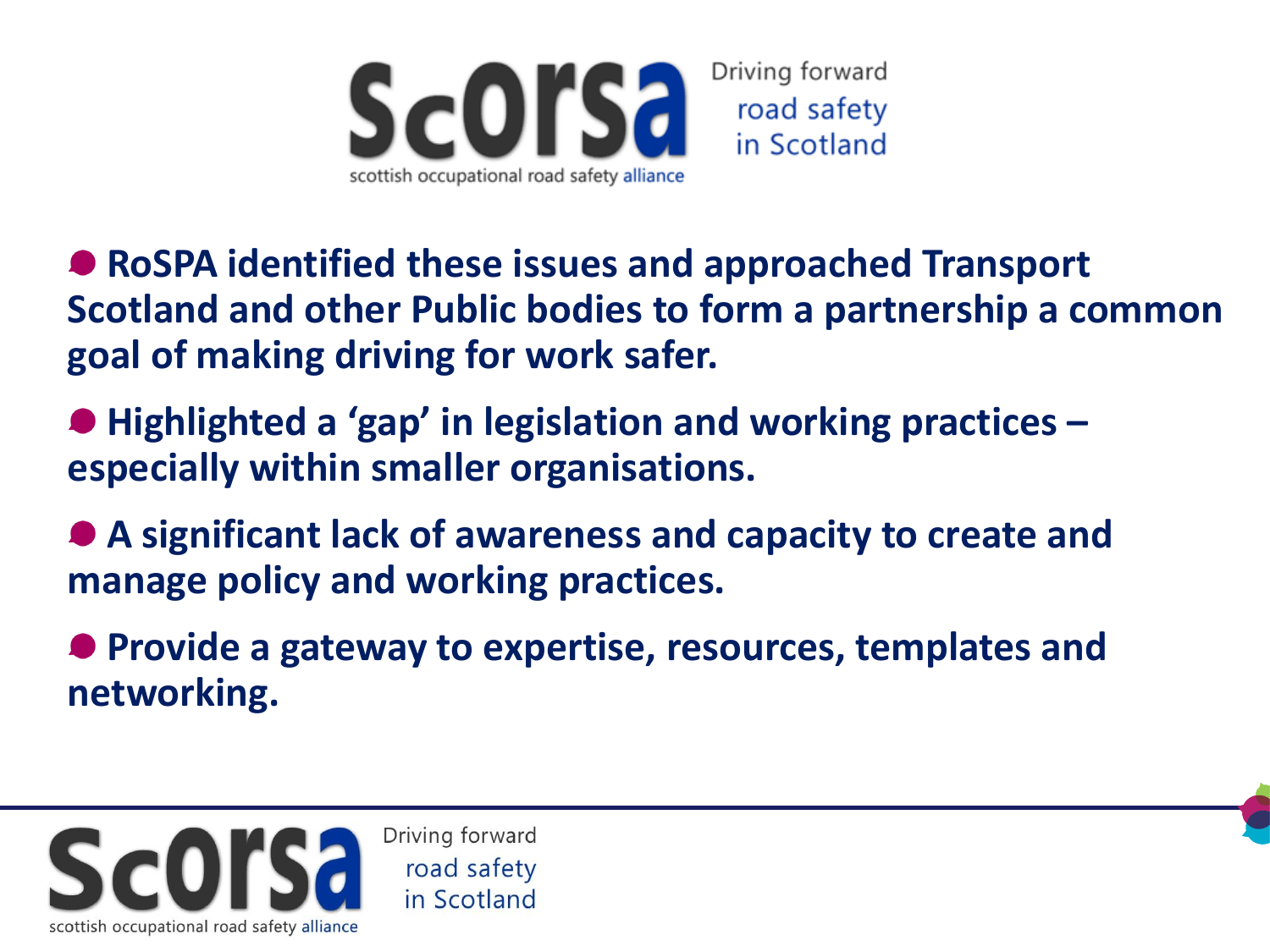

- **RoSPA identified these issues and approached Transport Scotland and other Public bodies to form a partnership a common goal of making driving for work safer.**
- **Highlighted a 'gap' in legislation and working practices – especially within smaller organisations.**
- **A significant lack of awareness and capacity to create and manage policy and working practices.**
- **Provide a gateway to expertise, resources, templates and networking.**

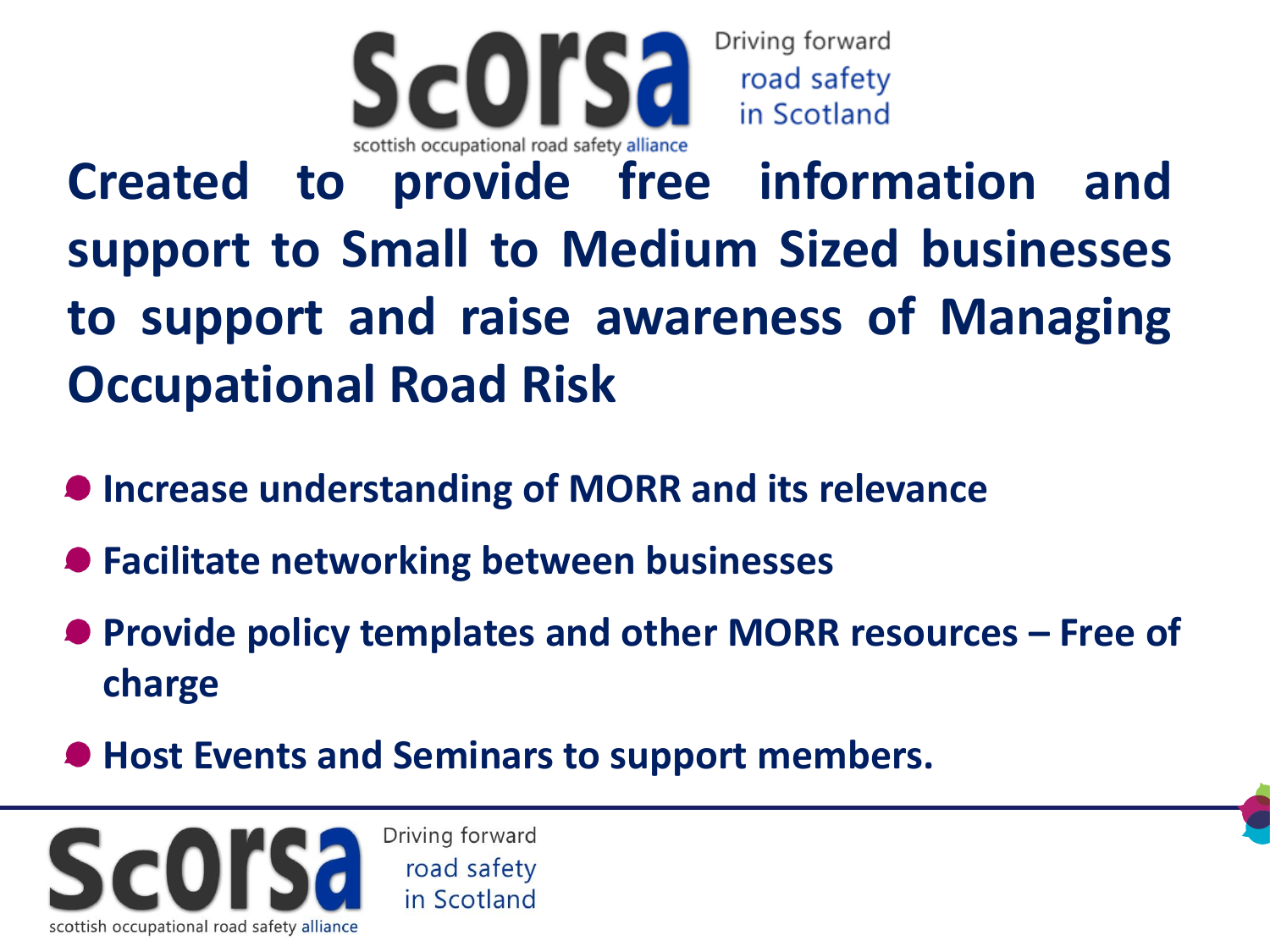

**Created to provide free information and support to Small to Medium Sized businesses to support and raise awareness of Managing Occupational Road Risk**

- $\bullet$  **Increase understanding of MORR and its relevance**
- **Facilitate networking between businesses**
- **Provide policy templates and other MORR resources – Free of charge**
- **Host Events and Seminars to support members.**

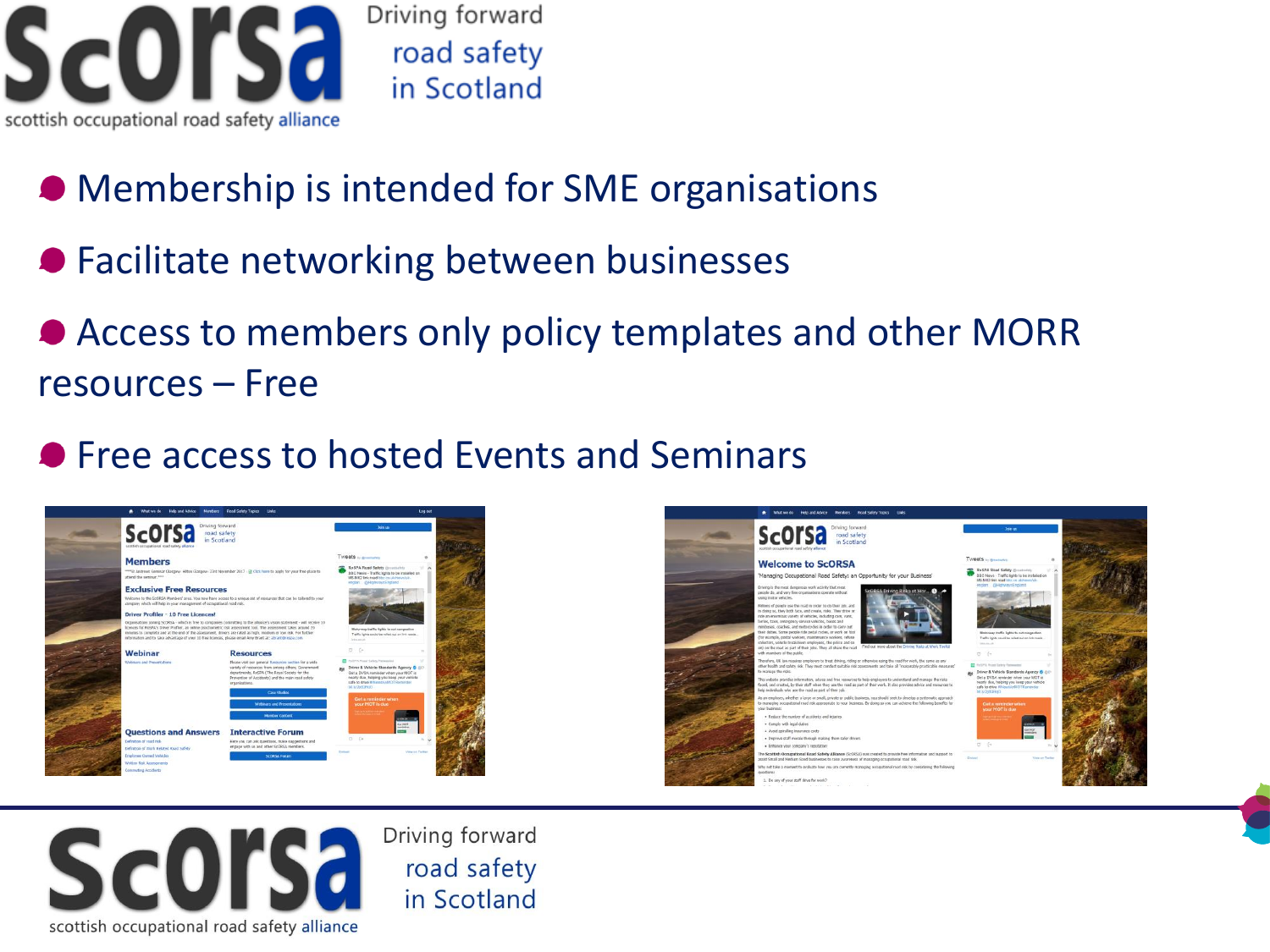

Driving forward road safety in Scotland

- Membership is intended for SME organisations
- Facilitate networking between businesses
- Access to members only policy templates and other MORR resources – Free
- **Free access to hosted Events and Seminars**





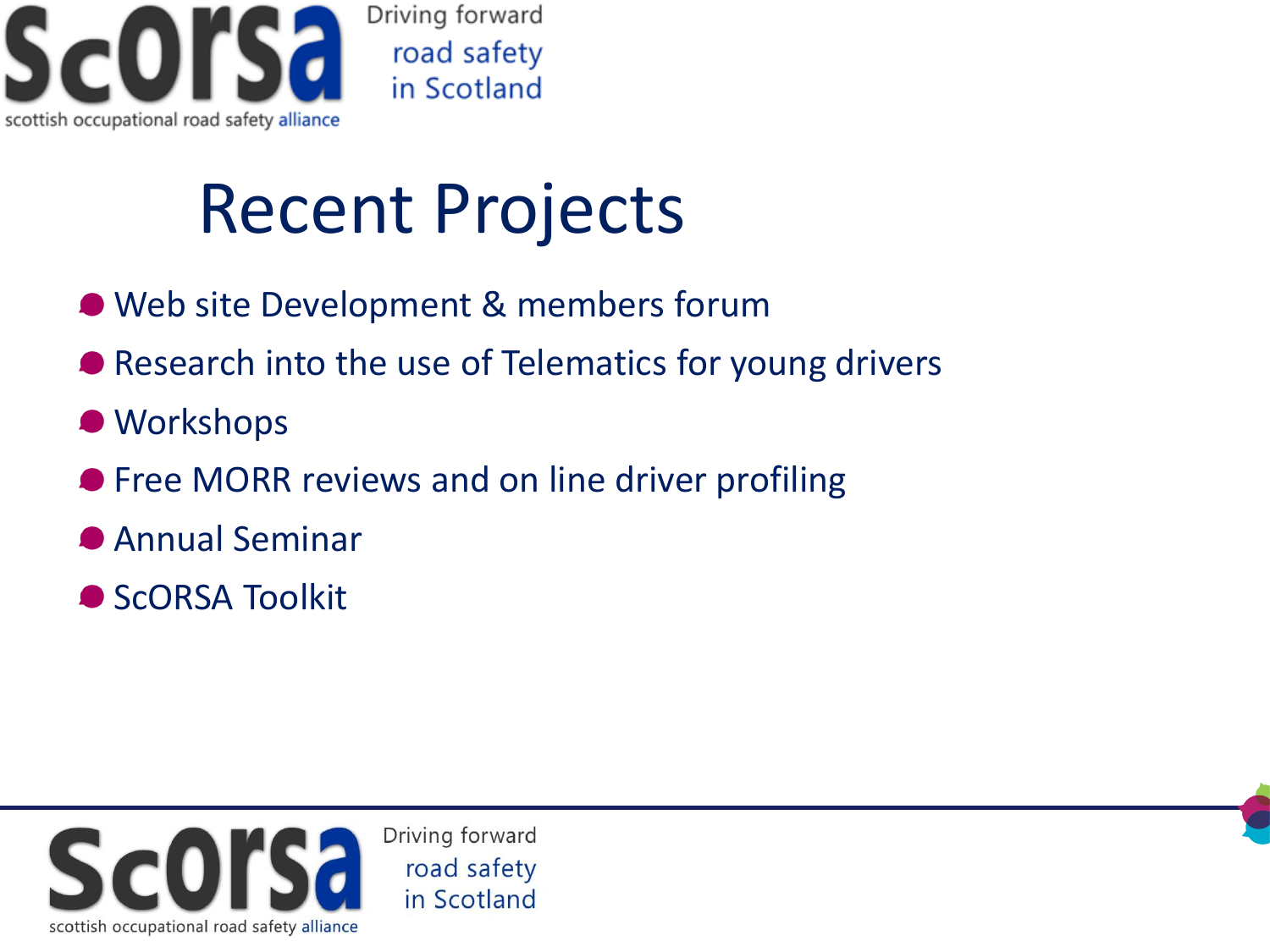

## Recent Projects

- Web site Development & members forum
- Research into the use of Telematics for young drivers
- $\bullet$  Workshops
- **Free MORR reviews and on line driver profiling**
- Annual Seminar
- ScORSA Toolkit